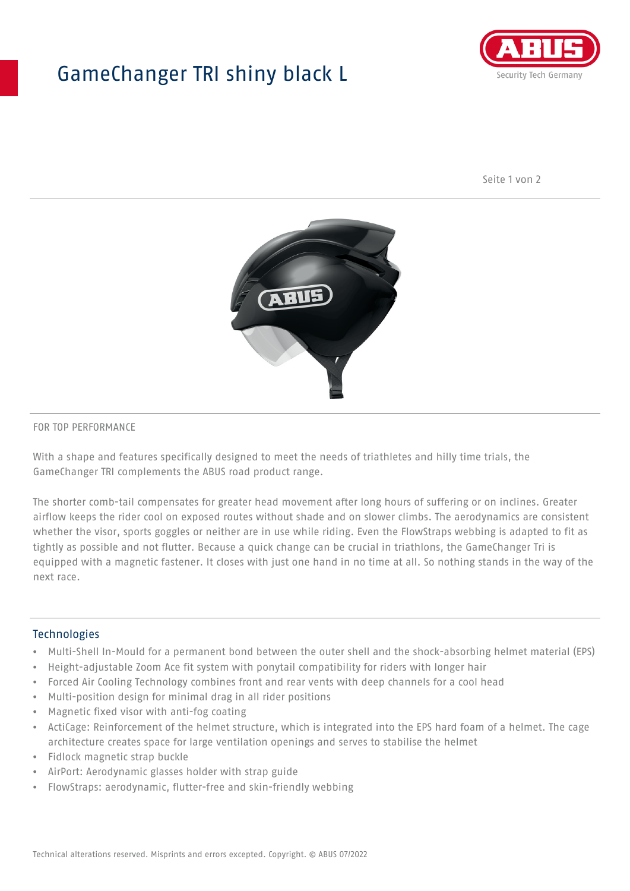## GameChanger TRI shiny black L



Seite 1 von 2



#### FOR TOP PERFORMANCE

With a shape and features specifically designed to meet the needs of triathletes and hilly time trials, the GameChanger TRI complements the ABUS road product range.

The shorter comb-tail compensates for greater head movement after long hours of suffering or on inclines. Greater airflow keeps the rider cool on exposed routes without shade and on slower climbs. The aerodynamics are consistent whether the visor, sports goggles or neither are in use while riding. Even the FlowStraps webbing is adapted to fit as tightly as possible and not flutter. Because a quick change can be crucial in triathlons, the GameChanger Tri is equipped with a magnetic fastener. It closes with just one hand in no time at all. So nothing stands in the way of the next race.

#### **Technologies**

- Multi-Shell In-Mould for a permanent bond between the outer shell and the shock-absorbing helmet material (EPS)
- Height-adjustable Zoom Ace fit system with ponytail compatibility for riders with longer hair
- Forced Air Cooling Technology combines front and rear vents with deep channels for a cool head
- Multi-position design for minimal drag in all rider positions
- Magnetic fixed visor with anti-fog coating
- ActiCage: Reinforcement of the helmet structure, which is integrated into the EPS hard foam of a helmet. The cage architecture creates space for large ventilation openings and serves to stabilise the helmet
- Fidlock magnetic strap buckle
- AirPort: Aerodynamic glasses holder with strap guide
- FlowStraps: aerodynamic, flutter-free and skin-friendly webbing